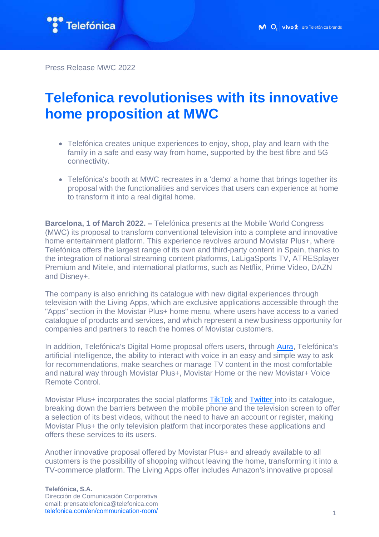

Press Release MWC 2022

## **Telefonica revolutionises with its innovative home proposition at MWC**

- Telefónica creates unique experiences to enjoy, shop, play and learn with the family in a safe and easy way from home, supported by the best fibre and 5G connectivity.
- Telefónica's booth at MWC recreates in a 'demo' a home that brings together its proposal with the functionalities and services that users can experience at home to transform it into a real digital home.

**Barcelona, 1 of March 2022. –** Telefónica presents at the Mobile World Congress (MWC) its proposal to transform conventional television into a complete and innovative home entertainment platform. This experience revolves around Movistar Plus+, where Telefónica offers the largest range of its own and third-party content in Spain, thanks to the integration of national streaming content platforms, LaLigaSports TV, ATRESplayer Premium and Mitele, and international platforms, such as Netflix, Prime Video, DAZN and Disney+.

The company is also enriching its catalogue with new digital experiences through television with the Living Apps, which are exclusive applications accessible through the "Apps" section in the Movistar Plus+ home menu, where users have access to a varied catalogue of products and services, and which represent a new business opportunity for companies and partners to reach the homes of Movistar customers.

In addition, Telefónica's Digital Home proposal offers users, through [Aura,](https://aura.telefonica.com/) Telefónica's artificial intelligence, the ability to interact with voice in an easy and simple way to ask for recommendations, make searches or manage TV content in the most comfortable and natural way through Movistar Plus+, Movistar Home or the new Movistar+ Voice Remote Control.

Movistar Plus+ incorporates the social platforms [TikTok](https://www.telefonica.com/en/communication-room/telefonica-and-tiktok-enter-into-partnership/) and [Twitter](https://www.telefonica.com/en/communication-room/movistar-plus-expands-its-entertainment-offer-by-integrating-twitter/) into its catalogue, breaking down the barriers between the mobile phone and the television screen to offer a selection of its best videos, without the need to have an account or register, making Movistar Plus+ the only television platform that incorporates these applications and offers these services to its users.

Another innovative proposal offered by Movistar Plus+ and already available to all customers is the possibility of shopping without leaving the home, transforming it into a TV-commerce platform. The Living Apps offer includes Amazon's innovative proposal